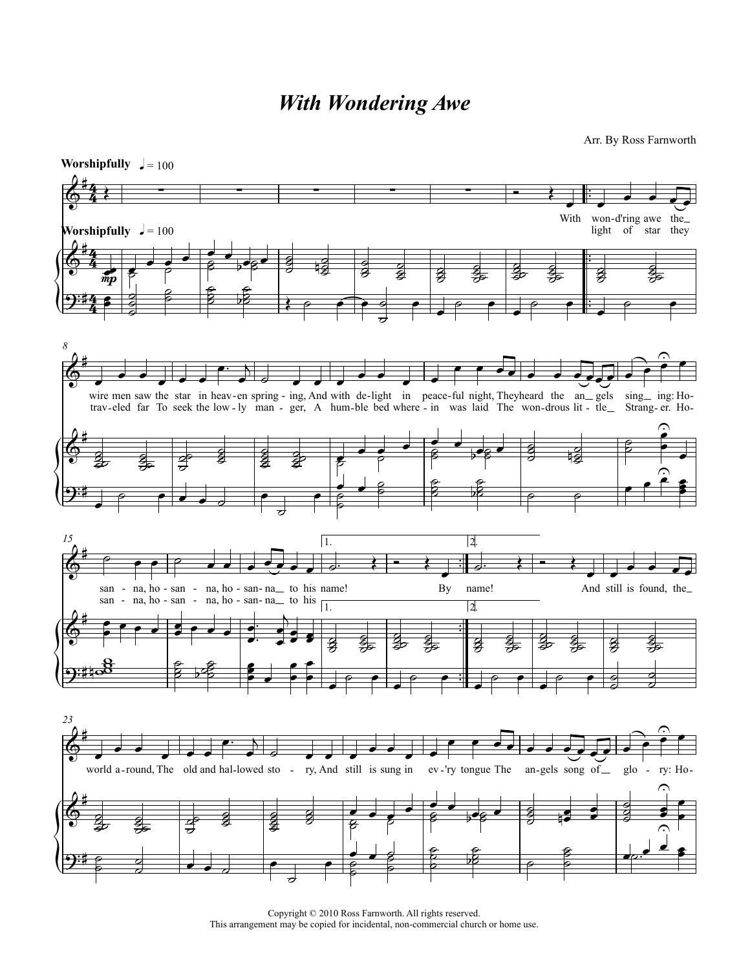## *With Wondering Awe*

## Arr. By Ross Farnworth



Copyright © 2010 Ross Farnworth. All rights reserved. This arrangement may be copied for incidental, non-commercial church or home use.